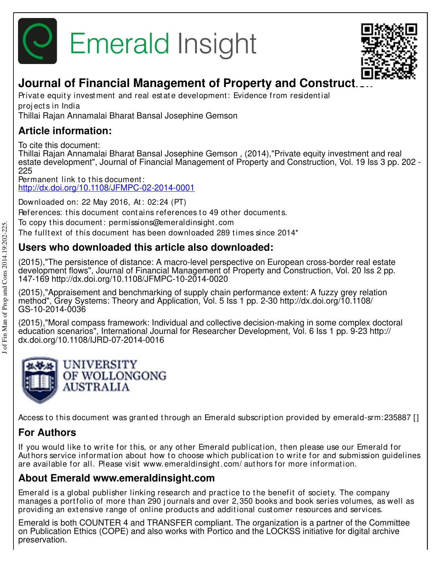



## **Journal of Financial Management of Property and Construct**

Privat e equit y invest ment and real est at e development : Evidence from resident ial proj ect s in India

Thillai Rajan Annamalai Bharat Bansal Josephine Gemson

## **Article information:**

To cite this document:

Thillai Rajan Annamalai Bharat Bansal Josephine Gemson , (2014),"Private equity investment and real estate development", Journal of Financial Management of Property and Construction, Vol. 19 Iss 3 pp. 202 - 225

Permanent link to this document: http://dx.doi.org/10.1108/JFMPC-02-2014-0001

Downloaded on: 22 May 2016, At : 02:24 (PT)

References: this document contains references to 49 other documents.

To copy t his document : permissions@emeraldinsight .com

The fulltext of this document has been downloaded 289 times since 2014\*

## **Users who downloaded this article also downloaded:**

(2015),"The persistence of distance: A macro-level perspective on European cross-border real estate development flows", Journal of Financial Management of Property and Construction, Vol. 20 Iss 2 pp. 147-169 http://dx.doi.org/10.1108/JFMPC-10-2014-0020

(2015),"Appraisement and benchmarking of supply chain performance extent: A fuzzy grey relation method", Grey Systems: Theory and Application, Vol. 5 Iss 1 pp. 2-30 http://dx.doi.org/10.1108/ GS-10-2014-0036

(2015),"Moral compass framework: Individual and collective decision-making in some complex doctoral education scenarios", International Journal for Researcher Development, Vol. 6 Iss 1 pp. 9-23 http:// dx.doi.org/10.1108/IJRD-07-2014-0016





Access to this document was granted through an Emerald subscription provided by emerald-srm:235887 []

## **For Authors**

If you would like to write for this, or any other Emerald publication, then please use our Emerald for Authors service information about how to choose which publication to write for and submission quidelines are available for all. Please visit www.emeraldinsight .com/ aut hors for more informat ion.

## **About Emerald www.emeraldinsight.com**

Emerald is a global publisher linking research and practice to the benefit of society. The company manages a portfolio of more than 290 journals and over 2,350 books and book series volumes, as well as providing an extensive range of online products and additional customer resources and services.

Emerald is both COUNTER 4 and TRANSFER compliant. The organization is a partner of the Committee on Publication Ethics (COPE) and also works with Portico and the LOCKSS initiative for digital archive preservation.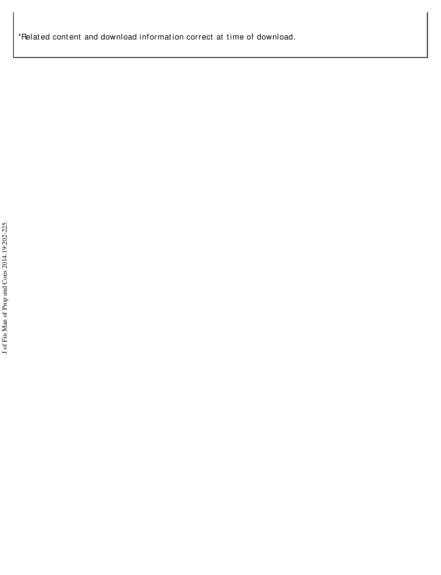\*Relat ed cont ent and download informat ion correct at t ime of download.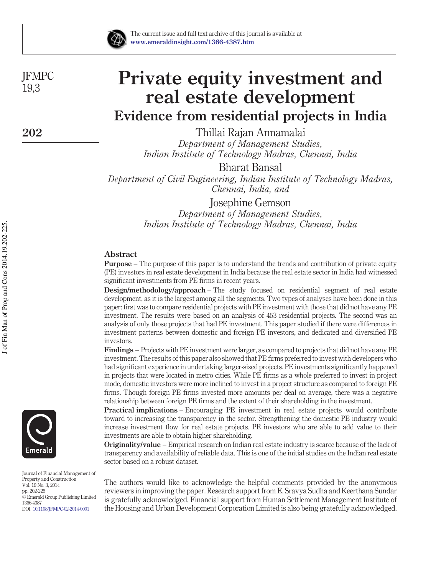

The current issue and full text archive of this journal is available at **www.emeraldinsight.com/1366-4387.htm**

**IFMPC** 19,3

**202**



Journal of Financial Management of Property and Construction Vol. 19 No. 3, 2014 pp. 202-225 © Emerald Group Publishing Limited 1366-4387 DOI 10.1108/JFMPC-02-2014-0001

# **Private equity investment and real estate development Evidence from residential projects in India**

Thillai Rajan Annamalai *Department of Management Studies, Indian Institute of Technology Madras, Chennai, India*

Bharat Bansal

*Department of Civil Engineering, Indian Institute of Technology Madras, Chennai, India, and*

> Josephine Gemson *Department of Management Studies, Indian Institute of Technology Madras, Chennai, India*

### **Abstract**

**Purpose** – The purpose of this paper is to understand the trends and contribution of private equity (PE) investors in real estate development in India because the real estate sector in India had witnessed significant investments from PE firms in recent years.

**Design/methodology/approach** – The study focused on residential segment of real estate development, as it is the largest among all the segments. Two types of analyses have been done in this paper: first was to compare residential projects with PE investment with those that did not have any PE investment. The results were based on an analysis of 453 residential projects. The second was an analysis of only those projects that had PE investment. This paper studied if there were differences in investment patterns between domestic and foreign PE investors, and dedicated and diversified PE investors.

**Findings** – Projects with PE investment were larger, as compared to projects that did not have any PE investment. The results of this paper also showed that PE firms preferred to invest with developers who had significant experience in undertaking larger-sized projects. PE investments significantly happened in projects that were located in metro cities. While PE firms as a whole preferred to invest in project mode, domestic investors were more inclined to invest in a project structure as compared to foreign PE firms. Though foreign PE firms invested more amounts per deal on average, there was a negative relationship between foreign PE firms and the extent of their shareholding in the investment.

**Practical implications** – Encouraging PE investment in real estate projects would contribute toward to increasing the transparency in the sector. Strengthening the domestic PE industry would increase investment flow for real estate projects. PE investors who are able to add value to their investments are able to obtain higher shareholding.

**Originality/value** – Empirical research on Indian real estate industry is scarce because of the lack of transparency and availability of reliable data. This is one of the initial studies on the Indian real estate sector based on a robust dataset.

The authors would like to acknowledge the helpful comments provided by the anonymous reviewers in improving the paper. Research support from E. Sravya Sudha and Keerthana Sundar is gratefully acknowledged. Financial support from Human Settlement Management Institute of the Housing and Urban Development Corporation Limited is also being gratefully acknowledged.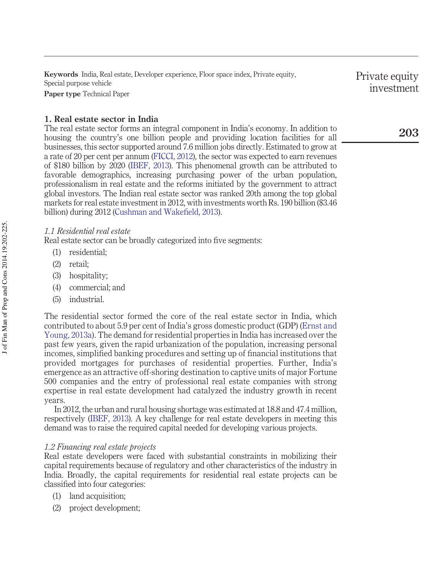**Keywords** India, Real estate, Developer experience, Floor space index, Private equity, Special purpose vehicle

**Paper type** Technical Paper

#### **1. Real estate sector in India**

The real estate sector forms an integral component in India's economy. In addition to housing the country's one billion people and providing location facilities for all businesses, this sector supported around 7.6 million jobs directly. Estimated to grow at a rate of 20 per cent per annum (FICCI, 2012), the sector was expected to earn revenues of \$180 billion by 2020 (IBEF, 2013). This phenomenal growth can be attributed to favorable demographics, increasing purchasing power of the urban population, professionalism in real estate and the reforms initiated by the government to attract global investors. The Indian real estate sector was ranked 20th among the top global markets for real estate investment in 2012, with investments worth Rs. 190 billion (\$3.46 billion) during 2012 (Cushman and Wakefield, 2013).

### *1.1 Residential real estate*

Real estate sector can be broadly categorized into five segments:

- (1) residential;
- (2) retail;
- (3) hospitality;
- (4) commercial; and
- (5) industrial.

The residential sector formed the core of the real estate sector in India, which contributed to about 5.9 per cent of India's gross domestic product (GDP) (Ernst and Young, 2013a). The demand for residential properties in India has increased over the past few years, given the rapid urbanization of the population, increasing personal incomes, simplified banking procedures and setting up of financial institutions that provided mortgages for purchases of residential properties. Further, India's emergence as an attractive off-shoring destination to captive units of major Fortune 500 companies and the entry of professional real estate companies with strong expertise in real estate development had catalyzed the industry growth in recent years.

In 2012, the urban and rural housing shortage was estimated at 18.8 and 47.4 million, respectively (IBEF, 2013). A key challenge for real estate developers in meeting this demand was to raise the required capital needed for developing various projects.

#### *1.2 Financing real estate projects*

Real estate developers were faced with substantial constraints in mobilizing their capital requirements because of regulatory and other characteristics of the industry in India. Broadly, the capital requirements for residential real estate projects can be classified into four categories:

- (1) land acquisition;
- (2) project development;

Private equity investment

**203**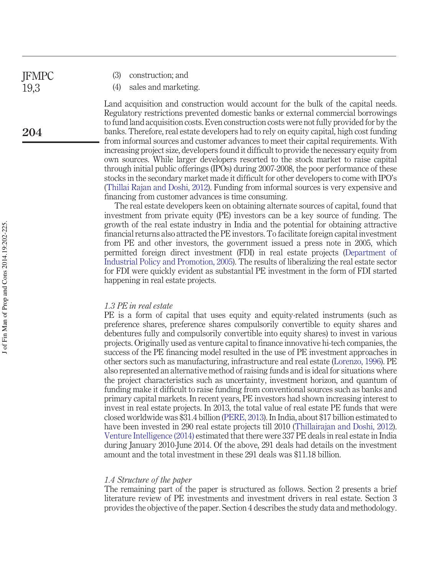**IFMPC** 19,3

**204**

- (3) construction; and
- (4) sales and marketing.

Land acquisition and construction would account for the bulk of the capital needs. Regulatory restrictions prevented domestic banks or external commercial borrowings to fund land acquisition costs. Even construction costs were not fully provided for by the banks. Therefore, real estate developers had to rely on equity capital, high cost funding from informal sources and customer advances to meet their capital requirements. With increasing project size, developers found it difficult to provide the necessary equity from own sources. While larger developers resorted to the stock market to raise capital through initial public offerings (IPOs) during 2007-2008, the poor performance of these stocks in the secondary market made it difficult for other developers to come with IPO's (Thillai Rajan and Doshi, 2012). Funding from informal sources is very expensive and financing from customer advances is time consuming.

The real estate developers keen on obtaining alternate sources of capital, found that investment from private equity (PE) investors can be a key source of funding. The growth of the real estate industry in India and the potential for obtaining attractive financial returns also attracted the PE investors. To facilitate foreign capital investment from PE and other investors, the government issued a press note in 2005, which permitted foreign direct investment (FDI) in real estate projects (Department of Industrial Policy and Promotion, 2005). The results of liberalizing the real estate sector for FDI were quickly evident as substantial PE investment in the form of FDI started happening in real estate projects.

#### *1.3 PE in real estate*

PE is a form of capital that uses equity and equity-related instruments (such as preference shares, preference shares compulsorily convertible to equity shares and debentures fully and compulsorily convertible into equity shares) to invest in various projects. Originally used as venture capital to finance innovative hi-tech companies, the success of the PE financing model resulted in the use of PE investment approaches in other sectors such as manufacturing, infrastructure and real estate (Lorenzo, 1996). PE also represented an alternative method of raising funds and is ideal for situations where the project characteristics such as uncertainty, investment horizon, and quantum of funding make it difficult to raise funding from conventional sources such as banks and primary capital markets. In recent years, PE investors had shown increasing interest to invest in real estate projects. In 2013, the total value of real estate PE funds that were closed worldwide was \$31.4 billion (PERE, 2013). In India, about \$17 billion estimated to have been invested in 290 real estate projects till 2010 (Thillairajan and Doshi, 2012). Venture Intelligence (2014) estimated that there were 337 PE deals in real estate in India during January 2010-June 2014. Of the above, 291 deals had details on the investment amount and the total investment in these 291 deals was \$11.18 billion.

#### *1.4 Structure of the paper*

The remaining part of the paper is structured as follows. Section 2 presents a brief literature review of PE investments and investment drivers in real estate. Section 3 provides the objective of the paper. Section 4 describes the study data and methodology.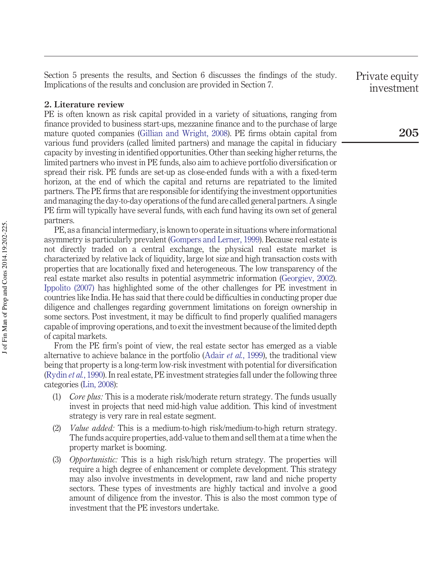Section 5 presents the results, and Section 6 discusses the findings of the study. Implications of the results and conclusion are provided in Section 7.

#### **2. Literature review**

PE is often known as risk capital provided in a variety of situations, ranging from finance provided to business start-ups, mezzanine finance and to the purchase of large mature quoted companies (Gillian and Wright, 2008). PE firms obtain capital from various fund providers (called limited partners) and manage the capital in fiduciary capacity by investing in identified opportunities. Other than seeking higher returns, the limited partners who invest in PE funds, also aim to achieve portfolio diversification or spread their risk. PE funds are set-up as close-ended funds with a with a fixed-term horizon, at the end of which the capital and returns are repatriated to the limited partners. The PE firms that are responsible for identifying the investment opportunities and managing the day-to-day operations of the fund are called general partners. A single PE firm will typically have several funds, with each fund having its own set of general partners.

PE, as a financial intermediary, is known to operate in situations where informational asymmetry is particularly prevalent (Gompers and Lerner, 1999). Because real estate is not directly traded on a central exchange, the physical real estate market is characterized by relative lack of liquidity, large lot size and high transaction costs with properties that are locationally fixed and heterogeneous. The low transparency of the real estate market also results in potential asymmetric information (Georgiev, 2002). Ippolito (2007) has highlighted some of the other challenges for PE investment in countries like India. He has said that there could be difficulties in conducting proper due diligence and challenges regarding government limitations on foreign ownership in some sectors. Post investment, it may be difficult to find properly qualified managers capable of improving operations, and to exit the investment because of the limited depth of capital markets.

From the PE firm's point of view, the real estate sector has emerged as a viable alternative to achieve balance in the portfolio (Adair *et al.*, 1999), the traditional view being that property is a long-term low-risk investment with potential for diversification (Rydin *et al.*, 1990). In real estate, PE investment strategies fall under the following three categories (Lin, 2008):

- (1) *Core plus:* This is a moderate risk/moderate return strategy. The funds usually invest in projects that need mid-high value addition. This kind of investment strategy is very rare in real estate segment.
- (2) *Value added:* This is a medium-to-high risk/medium-to-high return strategy. The funds acquire properties, add-value to them and sell them at a time when the property market is booming.
- (3) *Opportunistic:* This is a high risk/high return strategy. The properties will require a high degree of enhancement or complete development. This strategy may also involve investments in development, raw land and niche property sectors. These types of investments are highly tactical and involve a good amount of diligence from the investor. This is also the most common type of investment that the PE investors undertake.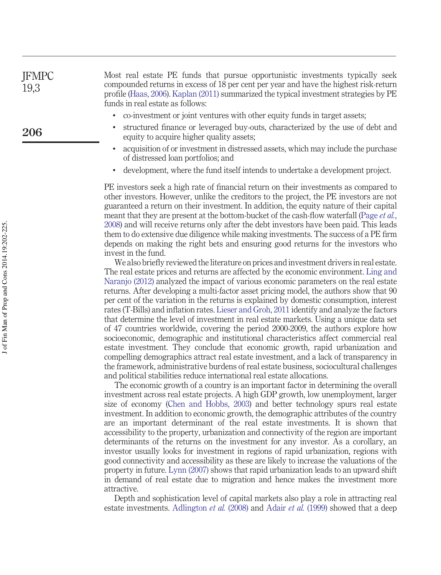| <b>IFMPC</b><br>19,3 | Most real estate PE funds that pursue opportunistic investments typically seek<br>compounded returns in excess of 18 per cent per year and have the highest risk-return<br>profile (Haas, 2006). Kaplan (2011) summarized the typical investment strategies by PE<br>funds in real estate as follows: |
|----------------------|-------------------------------------------------------------------------------------------------------------------------------------------------------------------------------------------------------------------------------------------------------------------------------------------------------|
|                      |                                                                                                                                                                                                                                                                                                       |

- co-investment or joint ventures with other equity funds in target assets;
- structured finance or leveraged buy-outs, characterized by the use of debt and equity to acquire higher quality assets;
- acquisition of or investment in distressed assets, which may include the purchase of distressed loan portfolios; and
- development, where the fund itself intends to undertake a development project.

PE investors seek a high rate of financial return on their investments as compared to other investors. However, unlike the creditors to the project, the PE investors are not guaranteed a return on their investment. In addition, the equity nature of their capital meant that they are present at the bottom-bucket of the cash-flow waterfall (Page *et al.*, 2008) and will receive returns only after the debt investors have been paid. This leads them to do extensive due diligence while making investments. The success of a PE firm depends on making the right bets and ensuring good returns for the investors who invest in the fund.

We also briefly reviewed the literature on prices and investment drivers in real estate. The real estate prices and returns are affected by the economic environment. Ling and Naranjo (2012) analyzed the impact of various economic parameters on the real estate returns. After developing a multi-factor asset pricing model, the authors show that 90 per cent of the variation in the returns is explained by domestic consumption, interest rates (T-Bills) and inflation rates. Lieser and Groh, 2011 identify and analyze the factors that determine the level of investment in real estate markets. Using a unique data set of 47 countries worldwide, covering the period 2000-2009, the authors explore how socioeconomic, demographic and institutional characteristics affect commercial real estate investment. They conclude that economic growth, rapid urbanization and compelling demographics attract real estate investment, and a lack of transparency in the framework, administrative burdens of real estate business, sociocultural challenges and political stabilities reduce international real estate allocations.

The economic growth of a country is an important factor in determining the overall investment across real estate projects. A high GDP growth, low unemployment, larger size of economy (Chen and Hobbs, 2003) and better technology spurs real estate investment. In addition to economic growth, the demographic attributes of the country are an important determinant of the real estate investments. It is shown that accessibility to the property, urbanization and connectivity of the region are important determinants of the returns on the investment for any investor. As a corollary, an investor usually looks for investment in regions of rapid urbanization, regions with good connectivity and accessibility as these are likely to increase the valuations of the property in future. Lynn (2007) shows that rapid urbanization leads to an upward shift in demand of real estate due to migration and hence makes the investment more attractive.

Depth and sophistication level of capital markets also play a role in attracting real estate investments. Adlington *et al.* (2008) and Adair *et al.* (1999) showed that a deep

**206**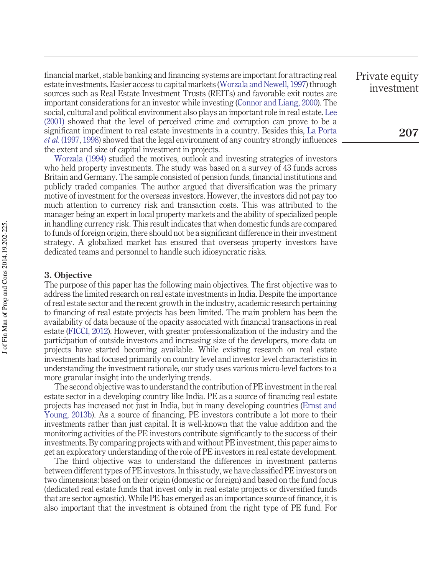financial market, stable banking and financing systems are important for attracting real estate investments. Easier access to capital markets (Worzala and Newell, 1997) through sources such as Real Estate Investment Trusts (REITs) and favorable exit routes are important considerations for an investor while investing (Connor and Liang, 2000). The social, cultural and political environment also plays an important role in real estate. Lee (2001) showed that the level of perceived crime and corruption can prove to be a significant impediment to real estate investments in a country. Besides this, La Porta *et al.* (1997, 1998) showed that the legal environment of any country strongly influences the extent and size of capital investment in projects.

Worzala (1994) studied the motives, outlook and investing strategies of investors who held property investments. The study was based on a survey of 43 funds across Britain and Germany. The sample consisted of pension funds, financial institutions and publicly traded companies. The author argued that diversification was the primary motive of investment for the overseas investors. However, the investors did not pay too much attention to currency risk and transaction costs. This was attributed to the manager being an expert in local property markets and the ability of specialized people in handling currency risk. This result indicates that when domestic funds are compared to funds of foreign origin, there should not be a significant difference in their investment strategy. A globalized market has ensured that overseas property investors have dedicated teams and personnel to handle such idiosyncratic risks.

#### **3. Objective**

The purpose of this paper has the following main objectives. The first objective was to address the limited research on real estate investments in India. Despite the importance of real estate sector and the recent growth in the industry, academic research pertaining to financing of real estate projects has been limited. The main problem has been the availability of data because of the opacity associated with financial transactions in real estate (FICCI, 2012). However, with greater professionalization of the industry and the participation of outside investors and increasing size of the developers, more data on projects have started becoming available. While existing research on real estate investments had focused primarily on country level and investor level characteristics in understanding the investment rationale, our study uses various micro-level factors to a more granular insight into the underlying trends.

The second objective was to understand the contribution of PE investment in the real estate sector in a developing country like India. PE as a source of financing real estate projects has increased not just in India, but in many developing countries (Ernst and Young, 2013b). As a source of financing, PE investors contribute a lot more to their investments rather than just capital. It is well-known that the value addition and the monitoring activities of the PE investors contribute significantly to the success of their investments. By comparing projects with and without PE investment, this paper aims to get an exploratory understanding of the role of PE investors in real estate development.

The third objective was to understand the differences in investment patterns between different types of PE investors. In this study, we have classified PE investors on two dimensions: based on their origin (domestic or foreign) and based on the fund focus (dedicated real estate funds that invest only in real estate projects or diversified funds that are sector agnostic). While PE has emerged as an importance source of finance, it is also important that the investment is obtained from the right type of PE fund. For Private equity investment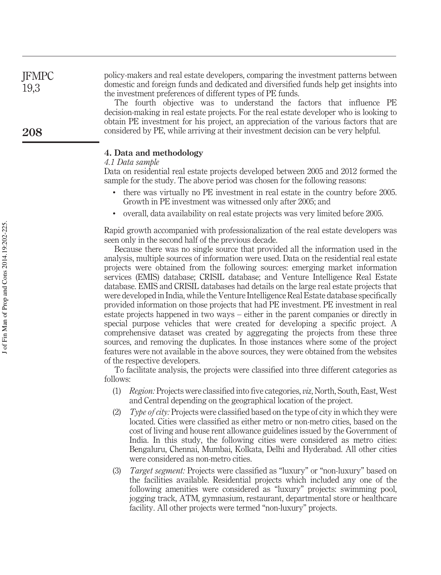| <b>IFMPC</b><br>19,3 | policy-makers and real estate developers, comparing the investment patterns between<br>domestic and foreign funds and dedicated and diversified funds help get insights into<br>the investment preferences of different types of PE funds. |
|----------------------|--------------------------------------------------------------------------------------------------------------------------------------------------------------------------------------------------------------------------------------------|
|                      |                                                                                                                                                                                                                                            |
|                      | The fourth objective was to understand the factors that influence PE                                                                                                                                                                       |
|                      | decision-making in real estate projects. For the real estate developer who is looking to                                                                                                                                                   |

decision-making in real estate projects. For the real estate developer who is looking to obtain PE investment for his project, an appreciation of the various factors that are considered by PE, while arriving at their investment decision can be very helpful.

#### **4. Data and methodology**

#### *4.1 Data sample*

Data on residential real estate projects developed between 2005 and 2012 formed the sample for the study. The above period was chosen for the following reasons:

- there was virtually no PE investment in real estate in the country before 2005. Growth in PE investment was witnessed only after 2005; and
- overall, data availability on real estate projects was very limited before 2005.

Rapid growth accompanied with professionalization of the real estate developers was seen only in the second half of the previous decade.

Because there was no single source that provided all the information used in the analysis, multiple sources of information were used. Data on the residential real estate projects were obtained from the following sources: emerging market information services (EMIS) database; CRISIL database; and Venture Intelligence Real Estate database. EMIS and CRISIL databases had details on the large real estate projects that were developed in India, while the Venture Intelligence Real Estate database specifically provided information on those projects that had PE investment. PE investment in real estate projects happened in two ways – either in the parent companies or directly in special purpose vehicles that were created for developing a specific project. A comprehensive dataset was created by aggregating the projects from these three sources, and removing the duplicates. In those instances where some of the project features were not available in the above sources, they were obtained from the websites of the respective developers.

To facilitate analysis, the projects were classified into three different categories as follows:

- (1) *Region:* Projects were classified into five categories, *viz*, North, South, East, West and Central depending on the geographical location of the project.
- (2) *Type of city:* Projects were classified based on the type of city in which they were located. Cities were classified as either metro or non-metro cities, based on the cost of living and house rent allowance guidelines issued by the Government of India. In this study, the following cities were considered as metro cities: Bengaluru, Chennai, Mumbai, Kolkata, Delhi and Hyderabad. All other cities were considered as non-metro cities.
- (3) *Target segment:* Projects were classified as "luxury" or "non-luxury" based on the facilities available. Residential projects which included any one of the following amenities were considered as "luxury" projects: swimming pool, jogging track, ATM, gymnasium, restaurant, departmental store or healthcare facility. All other projects were termed "non-luxury" projects.

**208**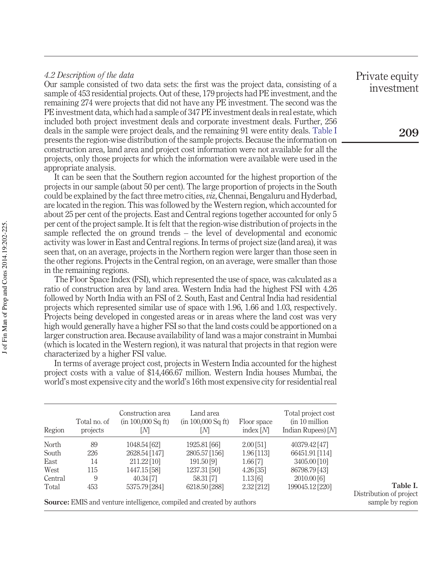#### *4.2 Description of the data*

Our sample consisted of two data sets: the first was the project data, consisting of a sample of 453 residential projects. Out of these, 179 projects had PE investment, and the remaining 274 were projects that did not have any PE investment. The second was the PE investment data, which had a sample of 347 PE investment deals in real estate, which included both project investment deals and corporate investment deals. Further, 256 deals in the sample were project deals, and the remaining 91 were entity deals. Table I presents the region-wise distribution of the sample projects. Because the information on construction area, land area and project cost information were not available for all the projects, only those projects for which the information were available were used in the appropriate analysis.

It can be seen that the Southern region accounted for the highest proportion of the projects in our sample (about 50 per cent). The large proportion of projects in the South could be explained by the fact three metro cities, *viz*, Chennai, Bengaluru and Hyderbad, are located in the region. This was followed by the Western region, which accounted for about 25 per cent of the projects. East and Central regions together accounted for only 5 per cent of the project sample. It is felt that the region-wise distribution of projects in the sample reflected the on ground trends – the level of developmental and economic activity was lower in East and Central regions. In terms of project size (land area), it was seen that, on an average, projects in the Northern region were larger than those seen in the other regions. Projects in the Central region, on an average, were smaller than those in the remaining regions.

The Floor Space Index (FSI), which represented the use of space, was calculated as a ratio of construction area by land area. Western India had the highest FSI with 4.26 followed by North India with an FSI of 2. South, East and Central India had residential projects which represented similar use of space with 1.96, 1.66 and 1.03, respectively. Projects being developed in congested areas or in areas where the land cost was very high would generally have a higher FSI so that the land costs could be apportioned on a larger construction area. Because availability of land was a major constraint in Mumbai (which is located in the Western region), it was natural that projects in that region were characterized by a higher FSI value.

In terms of average project cost, projects in Western India accounted for the highest project costs with a value of \$14,466.67 million. Western India houses Mumbai, the world's most expensive city and the world's 16th most expensive city for residential real

| Region  | Total no. of<br>projects | Construction area<br>(in 100,000 Sq ft)<br>ſМ                                 | Land area<br>(in 100,000 Sq ft)<br>ſМ | Floor space<br>index $[M]$ | Total project cost<br>(in 10 million)<br>Indian Rupees) [N] |
|---------|--------------------------|-------------------------------------------------------------------------------|---------------------------------------|----------------------------|-------------------------------------------------------------|
| North   | 89                       | 1048.54 [62]                                                                  | 1925.81 [66]                          | $2.00$ [51]                | 40379.42 [47]                                               |
| South   | 226                      | 2628.54 [147]                                                                 | 2805.57 [156]                         | $1.96$ [113]               | 66451.91 [114]                                              |
| East    | 14                       | 211.22 [10]                                                                   | 191.50 [9]                            | 1.66[7]                    | 3405.00 [10]                                                |
| West    | 115                      | 1447.15 [58]                                                                  | 1237.31 [50]                          | 4.26 [35]                  | 86798.79 [43]                                               |
| Central | 9                        | 40.34 [7]                                                                     | 58.31 [7]                             | 1.13[6]                    | 2010.00 [6]                                                 |
| Total   | 453                      | 5375.79 [284]                                                                 | 6218.50 [288]                         | 2.32 [212]                 | 199045.12 [220]                                             |
|         |                          | <b>Source:</b> EMIS and venture intelligence, compiled and created by authors |                                       |                            |                                                             |

**Table I.** Distribution of project sample by region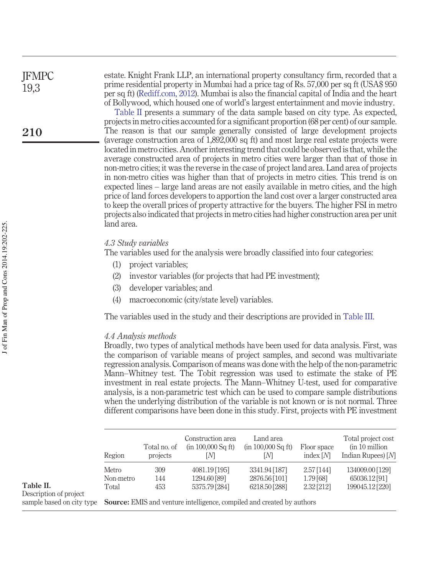estate. Knight Frank LLP, an international property consultancy firm, recorded that a prime residential property in Mumbai had a price tag of Rs. 57,000 per sq ft (USA\$ 950 per sq ft) (Rediff.com, 2012). Mumbai is also the financial capital of India and the heart of Bollywood, which housed one of world's largest entertainment and movie industry. Table II presents a summary of the data sample based on city type. As expected, projects in metro cities accounted for a significant proportion (68 per cent) of our sample. The reason is that our sample generally consisted of large development projects JFMPC 19,3 **210**

(average construction area of 1,892,000 sq ft) and most large real estate projects were located in metro cities. Another interesting trend that could be observed is that, while the average constructed area of projects in metro cities were larger than that of those in non-metro cities; it was the reverse in the case of project land area. Land area of projects in non-metro cities was higher than that of projects in metro cities. This trend is on expected lines – large land areas are not easily available in metro cities, and the high price of land forces developers to apportion the land cost over a larger constructed area to keep the overall prices of property attractive for the buyers. The higher FSI in metro projects also indicated that projects in metro cities had higher construction area per unit land area.

#### *4.3 Study variables*

The variables used for the analysis were broadly classified into four categories:

- (1) project variables;
- (2) investor variables (for projects that had PE investment);
- (3) developer variables; and
- (4) macroeconomic (city/state level) variables.

The variables used in the study and their descriptions are provided in Table III.

#### *4.4 Analysis methods*

Broadly, two types of analytical methods have been used for data analysis. First, was the comparison of variable means of project samples, and second was multivariate regression analysis. Comparison of means was done with the help of the non-parametric Mann–Whitney test. The Tobit regression was used to estimate the stake of PE investment in real estate projects. The Mann–Whitney U-test, used for comparative analysis, is a non-parametric test which can be used to compare sample distributions when the underlying distribution of the variable is not known or is not normal. Three different comparisons have been done in this study. First, projects with PE investment

| Region    | Total no. of<br>projects | Construction area<br>(in 100,000 Sq ft)<br>ſМ | Land area<br>(in 100,000 Sq ft)<br>ſМ | Floor space<br>index $[M]$ | Total project cost<br>(in 10 million)<br>Indian Rupees $ N $ |
|-----------|--------------------------|-----------------------------------------------|---------------------------------------|----------------------------|--------------------------------------------------------------|
| Metro     | 309                      | 4081.19 [195]                                 | 3341.94 [187]                         | $2.57$ [144]               | 134009.00 [129]                                              |
| Non-metro | 144                      | 1294.60 [89]                                  | 2876.56 $[101]$                       | 1.79 [68]                  | 65036.12 [91]                                                |
| Total     | 453                      | 5375.79 [284]                                 | 6218.50 [288]                         | 2.32 [212]                 | 199045.12 [220]                                              |
|           |                          |                                               |                                       |                            | $1 \quad 1 \quad 1 \quad 1 \quad 1$                          |

Table Descrip

sample based on city type **Source:** EMIS and venture intelligence, compiled and created by authors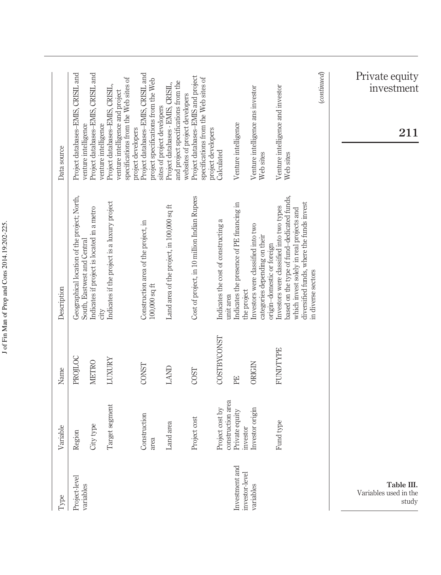| <b>Lype</b>                                  | ariable                              | Name            | Description                                                                                                                                                                     | Data source                                                                                                 |
|----------------------------------------------|--------------------------------------|-----------------|---------------------------------------------------------------------------------------------------------------------------------------------------------------------------------|-------------------------------------------------------------------------------------------------------------|
| Project-level<br>variables                   | Region                               | PROJLOC         | Geographical location of the project; North,<br>South, Eastwest and Central                                                                                                     | Project databases-EMIS, CRISIL and                                                                          |
|                                              | City type                            | METRO           | Indicates if project is located in a metro                                                                                                                                      | Project databases-EMIS, CRISIL and<br>venture intelligence                                                  |
|                                              | arget segment                        | LUXURY          | Indicates if the project is a luxury project<br>city                                                                                                                            | Project databases-EMIS, CRISIL,<br>venture intelligence                                                     |
|                                              |                                      |                 |                                                                                                                                                                                 | specifications from the Web sites of<br>venture intelligence and project                                    |
|                                              | Construction<br>area                 | CONST           | Construction area of the project, in<br>$100,000$ sq ft                                                                                                                         | Project databases-EMIS, CRISIL and<br>project specifications from the Web<br>project developers             |
|                                              | Land area                            | LAND            | Land area of the project, in 100,000 sq ft                                                                                                                                      | Project databases - EMIS, CRISIL,<br>sites of project developers                                            |
|                                              | Project cost                         | COST            | Cost of project, in 10 million Indian Rupees                                                                                                                                    | Project databases-EMIS and project<br>and project specifications from the<br>websites of project developers |
|                                              |                                      |                 |                                                                                                                                                                                 | specifications from the Web sites of                                                                        |
|                                              | construction area<br>Project cost by | COSTBYCONST     | Indicates the cost of constructing a<br>unit area                                                                                                                               | project developers<br>Calculated                                                                            |
| Investment and<br>investor-level             | Private equity                       | PE              | Indicates the presence of PE financing in                                                                                                                                       | Venture intelligence                                                                                        |
| variables                                    | investor<br>Investor origin          | <b>ORIGIN</b>   | Investors were classified into two<br>the project                                                                                                                               | Venture intelligence ans investor                                                                           |
|                                              |                                      |                 | categories depending on their<br>origin-domestic or foreign                                                                                                                     | Web sites                                                                                                   |
|                                              | Fund type                            | <b>FUNDTYPE</b> | based on the type of fund-dedicated funds,<br>diversified funds, where the funds invest<br>Investors were classified into two types<br>which invest solely in real projects and | Venture intelligence and investor<br>Web sites                                                              |
|                                              |                                      |                 | in diverse sectors                                                                                                                                                              | (continued)                                                                                                 |
| Table III.<br>Variables used in the<br>study |                                      |                 |                                                                                                                                                                                 | Private equity<br>investment<br>211                                                                         |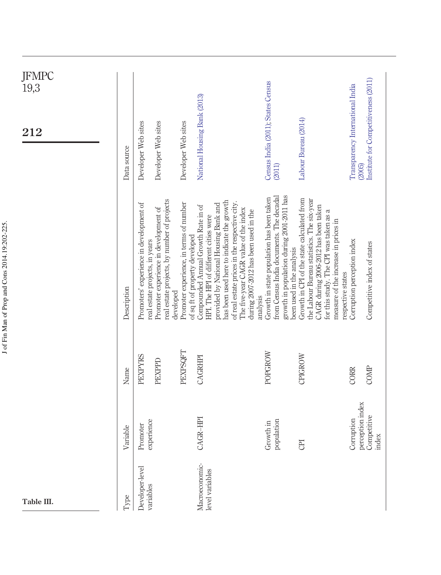| Table III.                        |                                |          |                                                                                          | JFMPC<br>19,3<br>212                         |
|-----------------------------------|--------------------------------|----------|------------------------------------------------------------------------------------------|----------------------------------------------|
| Type                              | Variable                       | Name     | Description                                                                              | Data source                                  |
| Developer-level<br>variables      | experience<br>Promoter         | PEXPYRS  | Promoters' experience in development of                                                  | Developer Web sites                          |
|                                   |                                | PEXPPD   | Promoter experience in development of<br>real estate projects, in years                  | Developer Web sites                          |
|                                   |                                |          | real estate projects, by number of projects<br>developed                                 |                                              |
|                                   |                                | PEXPSQFT | Promoter experience, in terms of number<br>of sq ft of property developed                | Developer Web sites                          |
| Macroeconomic-<br>level variables | GR-HPI<br>$\mathcal{S}$        | CAGRHPI  | Compounded Annual Growth Rate in of<br>HPI. The HPI of different cities were             | National Housing Bank (2013)                 |
|                                   |                                |          | has been used here to indicate the growth<br>provided by National Housing Bank and       |                                              |
|                                   |                                |          | of real estate prices in the respective city.<br>The five-year CAGR value of the index   |                                              |
|                                   |                                |          | during 2007-2012 has been used in the<br>analysis                                        |                                              |
|                                   | population<br>Growth in        | POPGROW  | from Census India documents. The decadal<br>Growth in state population has been taken    | Census India (2011); States Census<br>(2011) |
|                                   |                                |          | growth in population during 2001-2011 has<br>been used in the analysis                   |                                              |
|                                   | B                              | CPIGROW  | Growth in CPI of the state calculated from<br>the Labour Bureau statistics. The six-year | Labour Bureau (2014)                         |
|                                   |                                |          | CAGR during 2006-2012 has been taken                                                     |                                              |
|                                   |                                |          | for this study. The CPI was taken as a<br>measure of the increase in prices in           |                                              |
|                                   |                                |          | respective states                                                                        |                                              |
|                                   | perception index<br>Corruption | CORR     | Corruption perception index                                                              | Transparency International India<br>(2005)   |
|                                   | Competitive<br>index           | COMP     | Competitive index of states                                                              | Institute for Competitiveness (2011)         |
|                                   |                                |          |                                                                                          |                                              |

J of Fin Man of Prop and Cons 2014.19:202-225. J of Fin Man of Prop and Cons 2014.19:202-225.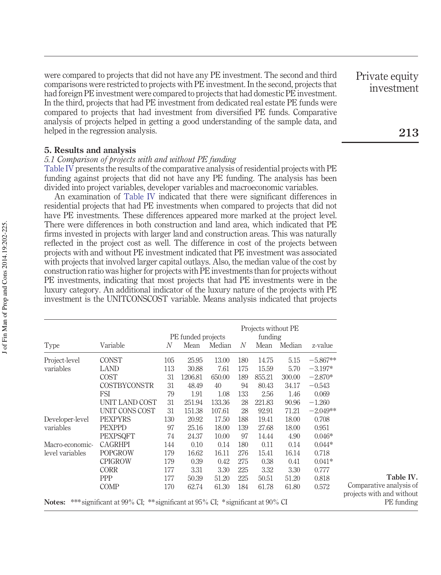were compared to projects that did not have any PE investment. The second and third comparisons were restricted to projects with PE investment. In the second, projects that had foreign PE investment were compared to projects that had domestic PE investment. In the third, projects that had PE investment from dedicated real estate PE funds were compared to projects that had investment from diversified PE funds. Comparative analysis of projects helped in getting a good understanding of the sample data, and helped in the regression analysis.

#### **5. Results and analysis**

#### *5.1 Comparison of projects with and without PE funding*

Table IV presents the results of the comparative analysis of residential projects with PE funding against projects that did not have any PE funding. The analysis has been divided into project variables, developer variables and macroeconomic variables.

An examination of Table IV indicated that there were significant differences in residential projects that had PE investments when compared to projects that did not have PE investments. These differences appeared more marked at the project level. There were differences in both construction and land area, which indicated that PE firms invested in projects with larger land and construction areas. This was naturally reflected in the project cost as well. The difference in cost of the projects between projects with and without PE investment indicated that PE investment was associated with projects that involved larger capital outlays. Also, the median value of the cost by construction ratio was higher for projects with PE investments than for projects without PE investments, indicating that most projects that had PE investments were in the luxury category. An additional indicator of the luxury nature of the projects with PE investment is the UNITCONSCOST variable. Means analysis indicated that projects

|                 |                                                                             |     | PE funded projects |        |     | Projects without PE<br>funding |        |            |                                                      |
|-----------------|-----------------------------------------------------------------------------|-----|--------------------|--------|-----|--------------------------------|--------|------------|------------------------------------------------------|
| Type            | Variable                                                                    | N   | Mean               | Median | N   | Mean                           | Median | z-value    |                                                      |
| Project-level   | <b>CONST</b>                                                                | 105 | 25.95              | 13.00  | 180 | 14.75                          | 5.15   | $-5.867**$ |                                                      |
| variables       | <b>LAND</b>                                                                 | 113 | 30.88              | 7.61   | 175 | 15.59                          | 5.70   | $-3.197*$  |                                                      |
|                 | <b>COST</b>                                                                 | 31  | 1206.81            | 650.00 | 189 | 855.21                         | 300.00 | $-2.870*$  |                                                      |
|                 | <b>COSTBYCONSTR</b>                                                         | 31  | 48.49              | 40     | 94  | 80.43                          | 34.17  | $-0.543$   |                                                      |
|                 | <b>FSI</b>                                                                  | 79  | 1.91               | 1.08   | 133 | 2.56                           | 1.46   | 0.069      |                                                      |
|                 | UNIT LAND COST                                                              | 31  | 251.94             | 133.36 | 28  | 221.83                         | 90.96  | $-1.260$   |                                                      |
|                 | UNIT CONS COST                                                              | 31  | 151.38             | 107.61 | 28  | 92.91                          | 71.21  | $-2.049**$ |                                                      |
| Developer-level | <b>PEXPYRS</b>                                                              | 130 | 20.92              | 17.50  | 188 | 19.41                          | 18.00  | 0.708      |                                                      |
| variables       | <b>PEXPPD</b>                                                               | 97  | 25.16              | 18.00  | 139 | 27.68                          | 18.00  | 0.951      |                                                      |
|                 | PEXPSQFT                                                                    | 74  | 24.37              | 10.00  | 97  | 14.44                          | 4.90   | $0.046*$   |                                                      |
| Macro-economic- | <b>CAGRHPI</b>                                                              | 144 | 0.10               | 0.14   | 180 | 0.11                           | 0.14   | $0.044*$   |                                                      |
| level variables | <b>POPGROW</b>                                                              | 179 | 16.62              | 16.11  | 276 | 15.41                          | 16.14  | 0.718      |                                                      |
|                 | <b>CPIGROW</b>                                                              | 179 | 0.39               | 0.42   | 275 | 0.38                           | 0.41   | $0.041*$   |                                                      |
|                 | <b>CORR</b>                                                                 | 177 | 3.31               | 3.30   | 225 | 3.32                           | 3.30   | 0.777      |                                                      |
|                 | <b>PPP</b>                                                                  | 177 | 50.39              | 51.20  | 225 | 50.51                          | 51.20  | 0.818      | Table IV.                                            |
|                 | COMP                                                                        | 170 | 62.74              | 61.30  | 184 | 61.78                          | 61.80  | 0.572      | Comparative analysis of<br>projects with and without |
| Notes:          | *** significant at 99% CI; ** significant at 95% CI; *significant at 90% CI |     |                    |        |     |                                |        |            | PE funding                                           |

Private equity investment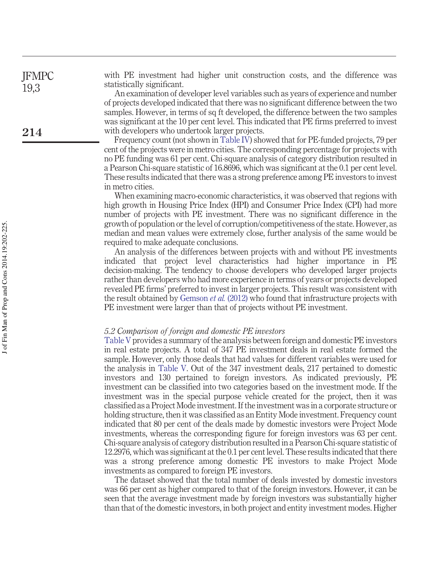with PE investment had higher unit construction costs, and the difference was statistically significant.

An examination of developer level variables such as years of experience and number of projects developed indicated that there was no significant difference between the two samples. However, in terms of sq ft developed, the difference between the two samples was significant at the 10 per cent level. This indicated that PE firms preferred to invest with developers who undertook larger projects.

Frequency count (not shown in Table IV) showed that for PE-funded projects, 79 per cent of the projects were in metro cities. The corresponding percentage for projects with no PE funding was 61 per cent. Chi-square analysis of category distribution resulted in a Pearson Chi-square statistic of 16.8696, which was significant at the 0.1 per cent level. These results indicated that there was a strong preference among PE investors to invest in metro cities.

When examining macro-economic characteristics, it was observed that regions with high growth in Housing Price Index (HPI) and Consumer Price Index (CPI) had more number of projects with PE investment. There was no significant difference in the growth of population or the level of corruption/competitiveness of the state. However, as median and mean values were extremely close, further analysis of the same would be required to make adequate conclusions.

An analysis of the differences between projects with and without PE investments indicated that project level characteristics had higher importance in PE decision-making. The tendency to choose developers who developed larger projects rather than developers who had more experience in terms of years or projects developed revealed PE firms' preferred to invest in larger projects. This result was consistent with the result obtained by Gemson *et al.* (2012) who found that infrastructure projects with PE investment were larger than that of projects without PE investment.

#### *5.2 Comparison of foreign and domestic PE investors*

Table V provides a summary of the analysis between foreign and domestic PE investors in real estate projects. A total of 347 PE investment deals in real estate formed the sample. However, only those deals that had values for different variables were used for the analysis in Table V. Out of the 347 investment deals, 217 pertained to domestic investors and 130 pertained to foreign investors. As indicated previously, PE investment can be classified into two categories based on the investment mode. If the investment was in the special purpose vehicle created for the project, then it was classified as a Project Mode investment. If the investment was in a corporate structure or holding structure, then it was classified as an Entity Mode investment. Frequency count indicated that 80 per cent of the deals made by domestic investors were Project Mode investments, whereas the corresponding figure for foreign investors was 63 per cent. Chi-square analysis of category distribution resulted in a Pearson Chi-square statistic of 12.2976, which was significant at the 0.1 per cent level. These results indicated that there was a strong preference among domestic PE investors to make Project Mode investments as compared to foreign PE investors.

The dataset showed that the total number of deals invested by domestic investors was 66 per cent as higher compared to that of the foreign investors. However, it can be seen that the average investment made by foreign investors was substantially higher than that of the domestic investors, in both project and entity investment modes. Higher

**IFMPC**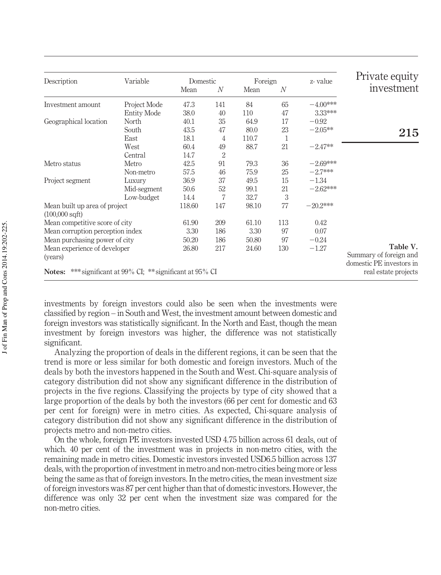| Description                                                | Variable           | Domestic |     | Foreign |     | z-value    | Private equity           |
|------------------------------------------------------------|--------------------|----------|-----|---------|-----|------------|--------------------------|
|                                                            |                    | Mean     | N   | Mean    | N   |            | investment               |
| Investment amount                                          | Project Mode       | 47.3     | 141 | 84      | 65  | $-4.00***$ |                          |
|                                                            | <b>Entity Mode</b> | 38.0     | 40  | 110     | 47  | 3.33***    |                          |
| Geographical location                                      | North              | 40.1     | 35  | 64.9    | 17  | $-0.92$    |                          |
|                                                            | South              | 43.5     | 47  | 80.0    | 23  | $-2.05**$  | 215                      |
|                                                            | East               | 18.1     | 4   | 110.7   | 1   |            |                          |
|                                                            | West               | 60.4     | 49  | 88.7    | 21  | $-2.47**$  |                          |
|                                                            | Central            | 14.7     | 2   |         |     |            |                          |
| Metro status                                               | Metro              | 42.5     | 91  | 79.3    | 36  | $-2.69***$ |                          |
|                                                            | Non-metro          | 57.5     | 46  | 75.9    | 25  | $-2.7***$  |                          |
| Project segment                                            | Luxury             | 36.9     | 37  | 49.5    | 15  | $-1.34$    |                          |
|                                                            | Mid-segment        | 50.6     | 52  | 99.1    | 21  | $-2.62***$ |                          |
|                                                            | Low-budget         | 14.4     | 7   | 32.7    | 3   |            |                          |
| Mean built up area of project                              |                    | 118.60   | 147 | 98.10   | 77  | $-20.2***$ |                          |
| $(100,000 \text{ sqft})$                                   |                    |          |     |         |     |            |                          |
| Mean competitive score of city                             |                    | 61.90    | 209 | 61.10   | 113 | 0.42       |                          |
| Mean corruption perception index                           |                    | 3.30     | 186 | 3.30    | 97  | 0.07       |                          |
| Mean purchasing power of city                              |                    | 50.20    | 186 | 50.80   | 97  | $-0.24$    |                          |
| Mean experience of developer                               |                    | 26.80    | 217 | 24.60   | 130 | $-1.27$    | Table V.                 |
| (years)                                                    |                    |          |     |         |     |            | Summary of foreign and   |
|                                                            |                    |          |     |         |     |            | domestic PE investors in |
| Notes: *** significant at 99% CI; ** significant at 95% CI |                    |          |     |         |     |            | real estate projects     |

investments by foreign investors could also be seen when the investments were classified by region – in South and West, the investment amount between domestic and foreign investors was statistically significant. In the North and East, though the mean investment by foreign investors was higher, the difference was not statistically significant.

Analyzing the proportion of deals in the different regions, it can be seen that the trend is more or less similar for both domestic and foreign investors. Much of the deals by both the investors happened in the South and West. Chi-square analysis of category distribution did not show any significant difference in the distribution of projects in the five regions. Classifying the projects by type of city showed that a large proportion of the deals by both the investors (66 per cent for domestic and 63 per cent for foreign) were in metro cities. As expected, Chi-square analysis of category distribution did not show any significant difference in the distribution of projects metro and non-metro cities.

On the whole, foreign PE investors invested USD 4.75 billion across 61 deals, out of which. 40 per cent of the investment was in projects in non-metro cities, with the remaining made in metro cities. Domestic investors invested USD6.5 billion across 137 deals, with the proportion of investment in metro and non-metro cities being more or less being the same as that of foreign investors. In the metro cities, the mean investment size of foreign investors was 87 per cent higher than that of domestic investors. However, the difference was only 32 per cent when the investment size was compared for the non-metro cities.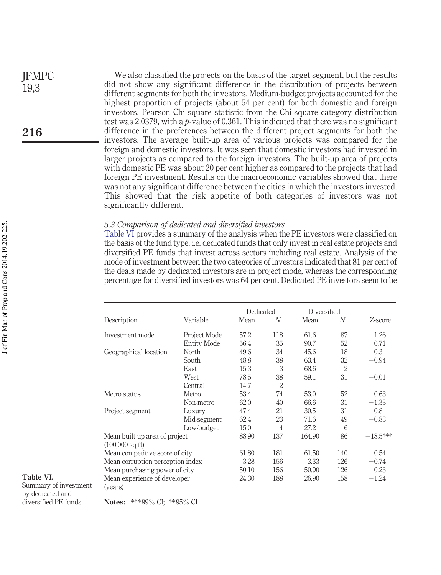#### We also classified the projects on the basis of the target segment, but the results did not show any significant difference in the distribution of projects between different segments for both the investors. Medium-budget projects accounted for the highest proportion of projects (about 54 per cent) for both domestic and foreign investors. Pearson Chi-square statistic from the Chi-square category distribution test was 2.0379, with a *p*-value of 0.361. This indicated that there was no significant difference in the preferences between the different project segments for both the investors. The average built-up area of various projects was compared for the foreign and domestic investors. It was seen that domestic investors had invested in larger projects as compared to the foreign investors. The built-up area of projects with domestic PE was about 20 per cent higher as compared to the projects that had foreign PE investment. Results on the macroeconomic variables showed that there was not any significant difference between the cities in which the investors invested. This showed that the risk appetite of both categories of investors was not significantly different. **IFMPC** 19,3 **216**

#### *5.3 Comparison of dedicated and diversified investors*

Table VI provides a summary of the analysis when the PE investors were classified on the basis of the fund type, i.e. dedicated funds that only invest in real estate projects and diversified PE funds that invest across sectors including real estate. Analysis of the mode of investment between the two categories of investors indicated that 81 per cent of the deals made by dedicated investors are in project mode, whereas the corresponding percentage for diversified investors was 64 per cent. Dedicated PE investors seem to be

|                                                        | Description                                                | Variable           | Dedicated<br>Mean | N              | Diversified<br>Mean | N              | Z-score    |
|--------------------------------------------------------|------------------------------------------------------------|--------------------|-------------------|----------------|---------------------|----------------|------------|
|                                                        | Investment mode                                            | Project Mode       | 57.2              | 118            | 61.6                | 87             | $-1.26$    |
|                                                        |                                                            | <b>Entity Mode</b> | 56.4              | 35             | 90.7                | 52             | 0.71       |
|                                                        | Geographical location                                      | North              | 49.6              | 34             | 45.6                | 18             | $-0.3$     |
|                                                        |                                                            | South              | 48.8              | 38             | 63.4                | 32             | $-0.94$    |
|                                                        |                                                            | East               | 15.3              | 3              | 68.6                | $\overline{2}$ |            |
|                                                        |                                                            | West               | 78.5              | 38             | 59.1                | 31             | $-0.01$    |
|                                                        |                                                            | Central            | 14.7              | $\overline{2}$ |                     |                |            |
|                                                        | Metro status                                               | Metro              | 53.4              | 74             | 53.0                | 52             | $-0.63$    |
|                                                        |                                                            | Non-metro          | 62.0              | 40             | 66.6                | 31             | $-1.33$    |
|                                                        | Project segment                                            | Luxury             | 47.4              | 21             | 30.5                | 31             | 0.8        |
|                                                        |                                                            | Mid-segment        | 62.4              | 23             | 71.6                | 49             | $-0.83$    |
|                                                        |                                                            | Low-budget         | 15.0              | 4              | 27.2                | 6              |            |
|                                                        | Mean built up area of project<br>$(100,000 \text{ sq ft})$ |                    | 88.90             | 137            | 164.90              | 86             | $-18.5***$ |
|                                                        | Mean competitive score of city                             |                    | 61.80             | 181            | 61.50               | 140            | 0.54       |
|                                                        | Mean corruption perception index                           |                    | 3.28              | 156            | 3.33                | 126            | $-0.74$    |
|                                                        | Mean purchasing power of city                              |                    | 50.10             | 156            | 50.90               | 126            | $-0.23$    |
| Table VI.<br>Summary of investment<br>by dedicated and | Mean experience of developer<br>(years)                    |                    | 24.30             | 188            | 26.90               | 158            | $-1.24$    |
| diversified PE funds                                   | ***99% CI: **95% CI<br>Notes:                              |                    |                   |                |                     |                |            |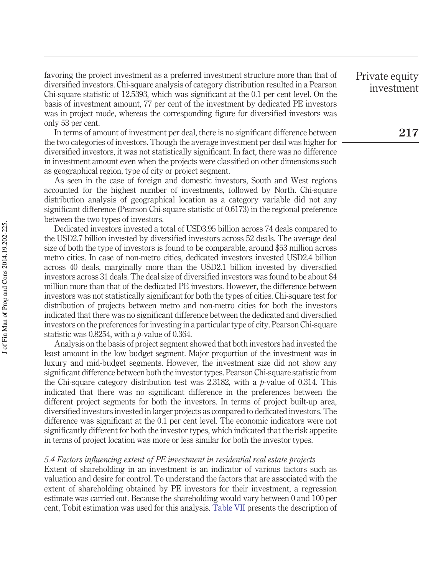favoring the project investment as a preferred investment structure more than that of diversified investors. Chi-square analysis of category distribution resulted in a Pearson Chi-square statistic of 12.5393, which was significant at the 0.1 per cent level. On the basis of investment amount, 77 per cent of the investment by dedicated PE investors was in project mode, whereas the corresponding figure for diversified investors was only 53 per cent.

In terms of amount of investment per deal, there is no significant difference between the two categories of investors. Though the average investment per deal was higher for diversified investors, it was not statistically significant. In fact, there was no difference in investment amount even when the projects were classified on other dimensions such as geographical region, type of city or project segment.

As seen in the case of foreign and domestic investors, South and West regions accounted for the highest number of investments, followed by North. Chi-square distribution analysis of geographical location as a category variable did not any significant difference (Pearson Chi-square statistic of 0.6173) in the regional preference between the two types of investors.

Dedicated investors invested a total of USD3.95 billion across 74 deals compared to the USD2.7 billion invested by diversified investors across 52 deals. The average deal size of both the type of investors is found to be comparable, around \$53 million across metro cities. In case of non-metro cities, dedicated investors invested USD2.4 billion across 40 deals, marginally more than the USD2.1 billion invested by diversified investors across 31 deals. The deal size of diversified investors was found to be about \$4 million more than that of the dedicated PE investors. However, the difference between investors was not statistically significant for both the types of cities. Chi-square test for distribution of projects between metro and non-metro cities for both the investors indicated that there was no significant difference between the dedicated and diversified investors on the preferences for investing in a particular type of city. Pearson Chi-square statistic was 0.8254, with a *p*-value of 0.364.

Analysis on the basis of project segment showed that both investors had invested the least amount in the low budget segment. Major proportion of the investment was in luxury and mid-budget segments. However, the investment size did not show any significant difference between both the investor types. Pearson Chi-square statistic from the Chi-square category distribution test was 2.3182, with a *p*-value of 0.314. This indicated that there was no significant difference in the preferences between the different project segments for both the investors. In terms of project built-up area, diversified investors invested in larger projects as compared to dedicated investors. The difference was significant at the 0.1 per cent level. The economic indicators were not significantly different for both the investor types, which indicated that the risk appetite in terms of project location was more or less similar for both the investor types.

#### *5.4 Factors influencing extent of PE investment in residential real estate projects*

Extent of shareholding in an investment is an indicator of various factors such as valuation and desire for control. To understand the factors that are associated with the extent of shareholding obtained by PE investors for their investment, a regression estimate was carried out. Because the shareholding would vary between 0 and 100 per cent, Tobit estimation was used for this analysis. Table VII presents the description of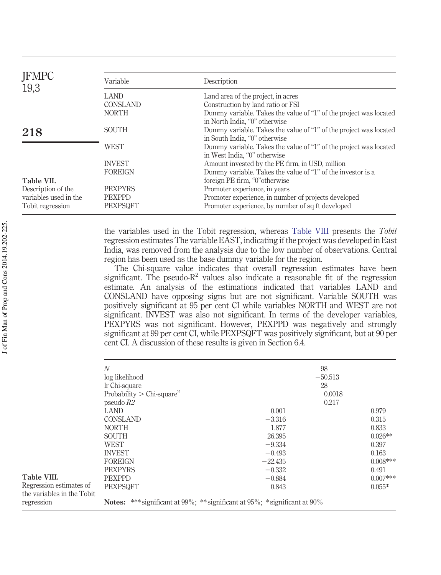| <b>JFMPC</b><br>19,3  | Variable        | Description                                                                                        |
|-----------------------|-----------------|----------------------------------------------------------------------------------------------------|
|                       | <b>LAND</b>     | Land area of the project, in acres                                                                 |
|                       | <b>CONSLAND</b> | Construction by land ratio or FSI                                                                  |
|                       | <b>NORTH</b>    | Dummy variable. Takes the value of "1" of the project was located<br>in North India, "0" otherwise |
| 218                   | <b>SOUTH</b>    | Dummy variable. Takes the value of "1" of the project was located<br>in South India, "0" otherwise |
|                       | <b>WEST</b>     | Dummy variable. Takes the value of "1" of the project was located<br>in West India, "0" otherwise  |
|                       | <b>INVEST</b>   | Amount invested by the PE firm, in USD, million                                                    |
|                       | FOREIGN         | Dummy variable. Takes the value of "1" of the investor is a                                        |
| Table VII.            |                 | foreign PE firm, "0" otherwise                                                                     |
| Description of the    | <b>PEXPYRS</b>  | Promoter experience, in years                                                                      |
| variables used in the | <b>PEXPPD</b>   | Promoter experience, in number of projects developed                                               |
| Tobit regression      | <b>PEXPSOFT</b> | Promoter experience, by number of sq ft developed                                                  |

the variables used in the Tobit regression, whereas Table VIII presents the *Tobit* regression estimates The variable EAST, indicating if the project was developed in East India, was removed from the analysis due to the low number of observations. Central region has been used as the base dummy variable for the region.

The Chi-square value indicates that overall regression estimates have been significant. The pseudo- $R^2$  values also indicate a reasonable fit of the regression estimate. An analysis of the estimations indicated that variables LAND and CONSLAND have opposing signs but are not significant. Variable SOUTH was positively significant at 95 per cent CI while variables NORTH and WEST are not significant. INVEST was also not significant. In terms of the developer variables, PEXPYRS was not significant. However, PEXPPD was negatively and strongly significant at 99 per cent CI, while PEXPSQFT was positively significant, but at 90 per cent CI. A discussion of these results is given in Section 6.4.

| N                                       | 98        |                                                                                   |
|-----------------------------------------|-----------|-----------------------------------------------------------------------------------|
| log likelihood                          | $-50.513$ |                                                                                   |
| lr Chi-square                           | 28        |                                                                                   |
| Probability $>$ Chi-square <sup>2</sup> | 0.0018    |                                                                                   |
| pseudo $R2$                             | 0.217     |                                                                                   |
| <b>LAND</b>                             | 0.001     | 0.979                                                                             |
| CONSLAND                                | $-3.316$  | 0.315                                                                             |
| <b>NORTH</b>                            | 1.877     | 0.833                                                                             |
| <b>SOUTH</b>                            | 26.395    | $0.026**$                                                                         |
| WEST                                    | $-9.334$  | 0.397                                                                             |
| <b>INVEST</b>                           | $-0.493$  | 0.163                                                                             |
| <b>FOREIGN</b>                          | $-22.435$ | $0.008***$                                                                        |
| <b>PEXPYRS</b>                          | $-0.332$  | 0.491                                                                             |
| <b>PEXPPD</b>                           | $-0.884$  | $0.007***$                                                                        |
| <b>PEXPSOFT</b>                         | 0.843     | $0.055*$                                                                          |
|                                         |           |                                                                                   |
|                                         |           | <b>Notes:</b> *** significant at 99%; ** significant at 95%; * significant at 90% |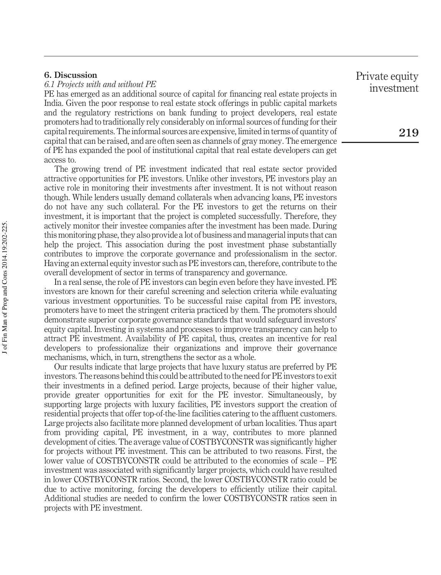#### **6. Discussion**

#### *6.1 Projects with and without PE*

PE has emerged as an additional source of capital for financing real estate projects in India. Given the poor response to real estate stock offerings in public capital markets and the regulatory restrictions on bank funding to project developers, real estate promoters had to traditionally rely considerably on informal sources of funding for their capital requirements. The informal sources are expensive, limited in terms of quantity of capital that can be raised, and are often seen as channels of gray money. The emergence of PE has expanded the pool of institutional capital that real estate developers can get access to.

The growing trend of PE investment indicated that real estate sector provided attractive opportunities for PE investors. Unlike other investors, PE investors play an active role in monitoring their investments after investment. It is not without reason though. While lenders usually demand collaterals when advancing loans, PE investors do not have any such collateral. For the PE investors to get the returns on their investment, it is important that the project is completed successfully. Therefore, they actively monitor their investee companies after the investment has been made. During this monitoring phase, they also provide a lot of business and managerial inputs that can help the project. This association during the post investment phase substantially contributes to improve the corporate governance and professionalism in the sector. Having an external equity investor such as PE investors can, therefore, contribute to the overall development of sector in terms of transparency and governance.

In a real sense, the role of PE investors can begin even before they have invested. PE investors are known for their careful screening and selection criteria while evaluating various investment opportunities. To be successful raise capital from PE investors, promoters have to meet the stringent criteria practiced by them. The promoters should demonstrate superior corporate governance standards that would safeguard investors' equity capital. Investing in systems and processes to improve transparency can help to attract PE investment. Availability of PE capital, thus, creates an incentive for real developers to professionalize their organizations and improve their governance mechanisms, which, in turn, strengthens the sector as a whole.

Our results indicate that large projects that have luxury status are preferred by PE investors. The reasons behind this could be attributed to the need for PE investors to exit their investments in a defined period. Large projects, because of their higher value, provide greater opportunities for exit for the PE investor. Simultaneously, by supporting large projects with luxury facilities, PE investors support the creation of residential projects that offer top-of-the-line facilities catering to the affluent customers. Large projects also facilitate more planned development of urban localities. Thus apart from providing capital, PE investment, in a way, contributes to more planned development of cities. The average value of COSTBYCONSTR was significantly higher for projects without PE investment. This can be attributed to two reasons. First, the lower value of COSTBYCONSTR could be attributed to the economies of scale – PE investment was associated with significantly larger projects, which could have resulted in lower COSTBYCONSTR ratios. Second, the lower COSTBYCONSTR ratio could be due to active monitoring, forcing the developers to efficiently utilize their capital. Additional studies are needed to confirm the lower COSTBYCONSTR ratios seen in projects with PE investment.

Private equity investment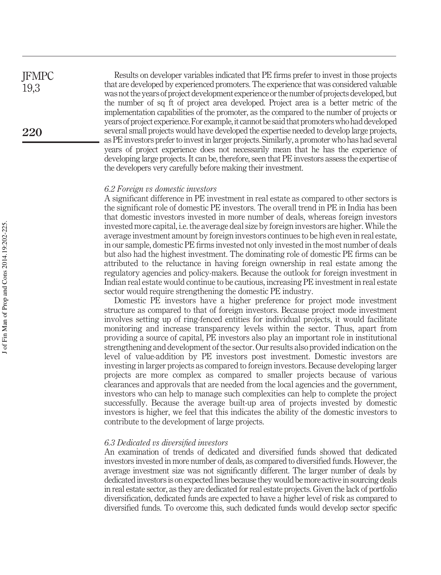| <b>JFMPC</b><br>19,3 | Results on developer variables indicated that PE firms prefer to invest in those projects<br>that are developed by experienced promoters. The experience that was considered valuable<br>was not the years of project development experience or the number of projects developed, but<br>the number of sq ft of project area developed. Project area is a better metric of the<br>implementation capabilities of the promoter, as the compared to the number of projects or                                                                              |
|----------------------|----------------------------------------------------------------------------------------------------------------------------------------------------------------------------------------------------------------------------------------------------------------------------------------------------------------------------------------------------------------------------------------------------------------------------------------------------------------------------------------------------------------------------------------------------------|
| 220                  | years of project experience. For example, it cannot be said that promoters who had developed<br>several small projects would have developed the expertise needed to develop large projects,<br>as PE investors prefer to invest in larger projects. Similarly, a promoter who has had several<br>years of project experience does not necessarily mean that he has the experience of<br>developing large projects. It can be, therefore, seen that PE investors assess the expertise of<br>the developers very carefully before making their investment. |

#### *6.2 Foreign vs domestic investors*

A significant difference in PE investment in real estate as compared to other sectors is the significant role of domestic PE investors. The overall trend in PE in India has been that domestic investors invested in more number of deals, whereas foreign investors invested more capital, i.e. the average deal size by foreign investors are higher. While the average investment amount by foreign investors continues to be high even in real estate, in our sample, domestic PE firms invested not only invested in the most number of deals but also had the highest investment. The dominating role of domestic PE firms can be attributed to the reluctance in having foreign ownership in real estate among the regulatory agencies and policy-makers. Because the outlook for foreign investment in Indian real estate would continue to be cautious, increasing PE investment in real estate sector would require strengthening the domestic PE industry.

Domestic PE investors have a higher preference for project mode investment structure as compared to that of foreign investors. Because project mode investment involves setting up of ring-fenced entities for individual projects, it would facilitate monitoring and increase transparency levels within the sector. Thus, apart from providing a source of capital, PE investors also play an important role in institutional strengthening and development of the sector. Our results also provided indication on the level of value-addition by PE investors post investment. Domestic investors are investing in larger projects as compared to foreign investors. Because developing larger projects are more complex as compared to smaller projects because of various clearances and approvals that are needed from the local agencies and the government, investors who can help to manage such complexities can help to complete the project successfully. Because the average built-up area of projects invested by domestic investors is higher, we feel that this indicates the ability of the domestic investors to contribute to the development of large projects.

#### *6.3 Dedicated vs diversified investors*

An examination of trends of dedicated and diversified funds showed that dedicated investors invested in more number of deals, as compared to diversified funds. However, the average investment size was not significantly different. The larger number of deals by dedicated investors is on expected lines because they would be more active in sourcing deals in real estate sector, as they are dedicated for real estate projects. Given the lack of portfolio diversification, dedicated funds are expected to have a higher level of risk as compared to diversified funds. To overcome this, such dedicated funds would develop sector specific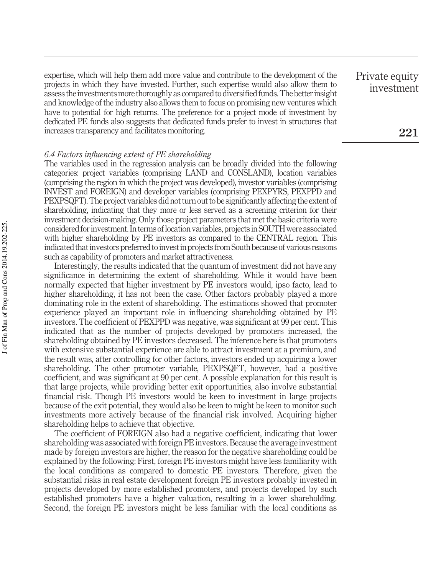expertise, which will help them add more value and contribute to the development of the projects in which they have invested. Further, such expertise would also allow them to assess theinvestmentsmore thoroughly as compared to diversified funds.The betterinsight and knowledge of the industry also allows them to focus on promising new ventures which have to potential for high returns. The preference for a project mode of investment by dedicated PE funds also suggests that dedicated funds prefer to invest in structures that increases transparency and facilitates monitoring.

#### *6.4 Factors influencing extent of PE shareholding*

The variables used in the regression analysis can be broadly divided into the following categories: project variables (comprising LAND and CONSLAND), location variables (comprising the region in which the project was developed), investor variables (comprising INVEST and FOREIGN) and developer variables (comprising PEXPYRS, PEXPPD and PEXPSQFT). The project variables did not turn out to be significantly affecting the extent of shareholding, indicating that they more or less served as a screening criterion for their investment decision-making. Only those project parameters that met the basic criteria were considered forinvestment. In terms oflocation variables, projectsin SOUTH were associated with higher shareholding by PE investors as compared to the CENTRAL region. This indicated that investors preferred to invest in projects from South because of various reasons such as capability of promoters and market attractiveness.

Interestingly, the results indicated that the quantum of investment did not have any significance in determining the extent of shareholding. While it would have been normally expected that higher investment by PE investors would, ipso facto, lead to higher shareholding, it has not been the case. Other factors probably played a more dominating role in the extent of shareholding. The estimations showed that promoter experience played an important role in influencing shareholding obtained by PE investors. The coefficient of PEXPPD was negative, was significant at 99 per cent. This indicated that as the number of projects developed by promoters increased, the shareholding obtained by PE investors decreased. The inference here is that promoters with extensive substantial experience are able to attract investment at a premium, and the result was, after controlling for other factors, investors ended up acquiring a lower shareholding. The other promoter variable, PEXPSQFT, however, had a positive coefficient, and was significant at 90 per cent. A possible explanation for this result is that large projects, while providing better exit opportunities, also involve substantial financial risk. Though PE investors would be keen to investment in large projects because of the exit potential, they would also be keen to might be keen to monitor such investments more actively because of the financial risk involved. Acquiring higher shareholding helps to achieve that objective.

The coefficient of FOREIGN also had a negative coefficient, indicating that lower shareholding was associated with foreign PE investors. Because the average investment made by foreign investors are higher, the reason for the negative shareholding could be explained by the following: First, foreign PE investors might have less familiarity with the local conditions as compared to domestic PE investors. Therefore, given the substantial risks in real estate development foreign PE investors probably invested in projects developed by more established promoters, and projects developed by such established promoters have a higher valuation, resulting in a lower shareholding. Second, the foreign PE investors might be less familiar with the local conditions as Private equity investment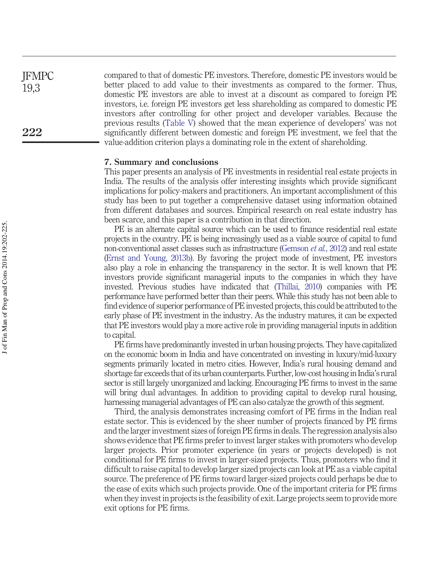compared to that of domestic PE investors. Therefore, domestic PE investors would be better placed to add value to their investments as compared to the former. Thus, domestic PE investors are able to invest at a discount as compared to foreign PE investors, i.e. foreign PE investors get less shareholding as compared to domestic PE investors after controlling for other project and developer variables. Because the previous results (Table V) showed that the mean experience of developers' was not significantly different between domestic and foreign PE investment, we feel that the value-addition criterion plays a dominating role in the extent of shareholding.

#### **7. Summary and conclusions**

This paper presents an analysis of PE investments in residential real estate projects in India. The results of the analysis offer interesting insights which provide significant implications for policy-makers and practitioners. An important accomplishment of this study has been to put together a comprehensive dataset using information obtained from different databases and sources. Empirical research on real estate industry has been scarce, and this paper is a contribution in that direction.

PE is an alternate capital source which can be used to finance residential real estate projects in the country. PE is being increasingly used as a viable source of capital to fund non-conventional asset classes such as infrastructure (Gemson *et al.*, 2012) and real estate (Ernst and Young, 2013b). By favoring the project mode of investment, PE investors also play a role in enhancing the transparency in the sector. It is well known that PE investors provide significant managerial inputs to the companies in which they have invested. Previous studies have indicated that (Thillai, 2010) companies with PE performance have performed better than their peers. While this study has not been able to find evidence of superior performance of PE invested projects, this could be attributed to the early phase of PE investment in the industry. As the industry matures, it can be expected that PE investors would play a more active role in providing managerial inputs in addition to capital.

PE firms have predominantly invested in urban housing projects. They have capitalized on the economic boom in India and have concentrated on investing in luxury/mid-luxury segments primarily located in metro cities. However, India's rural housing demand and shortage far exceeds that of its urban counterparts. Further, low-cost housing in India's rural sector is still largely unorganized and lacking. Encouraging PE firms to invest in the same will bring dual advantages. In addition to providing capital to develop rural housing, harnessing managerial advantages of PE can also catalyze the growth of this segment.

Third, the analysis demonstrates increasing comfort of PE firms in the Indian real estate sector. This is evidenced by the sheer number of projects financed by PE firms and the larger investment sizes of foreign PE firms in deals. The regression analysis also shows evidence that PE firms prefer to invest larger stakes with promoters who develop larger projects. Prior promoter experience (in years or projects developed) is not conditional for PE firms to invest in larger-sized projects. Thus, promoters who find it difficult to raise capital to develop larger sized projects can look at PE as a viable capital source. The preference of PE firms toward larger-sized projects could perhaps be due to the ease of exits which such projects provide. One of the important criteria for PE firms when they invest in projects is the feasibility of exit. Large projects seem to provide more exit options for PE firms.

**IFMPC** 19,3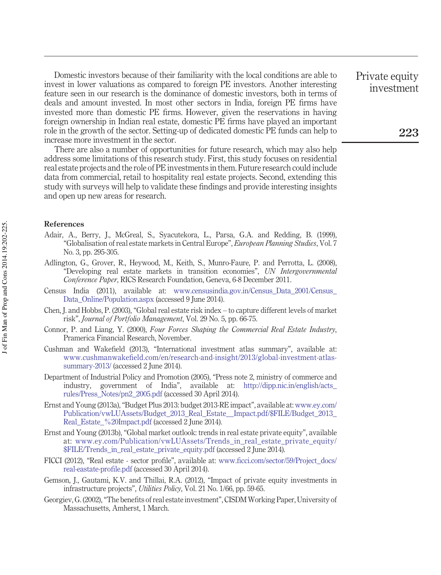Domestic investors because of their familiarity with the local conditions are able to invest in lower valuations as compared to foreign PE investors. Another interesting feature seen in our research is the dominance of domestic investors, both in terms of deals and amount invested. In most other sectors in India, foreign PE firms have invested more than domestic PE firms. However, given the reservations in having foreign ownership in Indian real estate, domestic PE firms have played an important role in the growth of the sector. Setting-up of dedicated domestic PE funds can help to increase more investment in the sector.

There are also a number of opportunities for future research, which may also help address some limitations of this research study. First, this study focuses on residential real estate projects and the role of PE investments in them. Future research could include data from commercial, retail to hospitality real estate projects. Second, extending this study with surveys will help to validate these findings and provide interesting insights and open up new areas for research.

#### **References**

- Adair, A., Berry, J., McGreal, S., Syacutekora, L., Parsa, G.A. and Redding, B. (1999), "Globalisation of real estate markets in Central Europe", *European Planning Studies*, Vol. 7 No. 3, pp. 295-305.
- Adlington, G., Grover, R., Heywood, M., Keith, S., Munro-Faure, P. and Perrotta, L. (2008), "Developing real estate markets in transition economies", *UN Intergovernmental Conference Paper*, RICS Research Foundation, Geneva, 6-8 December 2011.
- Census India (2011), available at: [www.censusindia.gov.in/Census\\_Data\\_2001/Census\\_](http://www.censusindia.gov.in/Census_Data_2001/Census_Data_Online/Population.aspx) [Data\\_Online/Population.aspx](http://www.censusindia.gov.in/Census_Data_2001/Census_Data_Online/Population.aspx) (accessed 9 June 2014).
- Chen, J. and Hobbs, P. (2003), "Global real estate risk index to capture different levels of market risk", *Journal of Portfolio Management*, Vol. 29 No. 5, pp. 66-75.
- Connor, P. and Liang, Y. (2000), *Four Forces Shaping the Commercial Real Estate Industry*, Pramerica Financial Research, November.
- Cushman and Wakefield (2013), "International investment atlas summary", available at: [www.cushmanwakefield.com/en/research-and-insight/2013/global-investment-atlas](http://www.cushmanwakefield.com/en/research-and-insight/2013/global-investment-atlas-summary-2013/)[summary-2013/](http://www.cushmanwakefield.com/en/research-and-insight/2013/global-investment-atlas-summary-2013/) (accessed 2 June 2014).
- Department of Industrial Policy and Promotion (2005), "Press note 2, ministry of commerce and industry, government of India", available at: [http://dipp.nic.in/english/acts\\_](http://dipp.nic.in/english/acts_rules/Press_Notes/pn2_2005.pdf) [rules/Press\\_Notes/pn2\\_2005.pdf](http://dipp.nic.in/english/acts_rules/Press_Notes/pn2_2005.pdf) (accessed 30 April 2014).
- Ernst and Young (2013a), "Budget Plus 2013: budget 2013-RE impact", available at: [www.ey.com/](http://www.ey.com/Publication/vwLUAssets/Budget_2013_Real_Estate__Impact.pdf/$FILE/Budget_2013_Real_Estate_%20Impact.pdf) [Publication/vwLUAssets/Budget\\_2013\\_Real\\_Estate\\_\\_Impact.pdf/\\$FILE/Budget\\_2013\\_](http://www.ey.com/Publication/vwLUAssets/Budget_2013_Real_Estate__Impact.pdf/$FILE/Budget_2013_Real_Estate_%20Impact.pdf) [Real\\_Estate\\_%20Impact.pdf](http://www.ey.com/Publication/vwLUAssets/Budget_2013_Real_Estate__Impact.pdf/$FILE/Budget_2013_Real_Estate_%20Impact.pdf) (accessed 2 June 2014).
- Ernst and Young (2013b), "Global market outlook: trends in real estate private equity", available at: [www.ey.com/Publication/vwLUAssets/Trends\\_in\\_real\\_estate\\_private\\_equity/](http://www.ey.com/Publication/vwLUAssets/Trends_in_real_estate_private_equity/$FILE/Trends_in_real_estate_private_equity.pdf) [\\$FILE/Trends\\_in\\_real\\_estate\\_private\\_equity.pdf](http://www.ey.com/Publication/vwLUAssets/Trends_in_real_estate_private_equity/$FILE/Trends_in_real_estate_private_equity.pdf) (accessed 2 June 2014).
- FICCI (2012), "Real estate sector profile", available at: [www.ficci.com/sector/59/Project\\_docs/](http://www.ficci.com/sector/59/Project_docs/real-eastate-profile.pdf) [real-eastate-profile.pdf](http://www.ficci.com/sector/59/Project_docs/real-eastate-profile.pdf) (accessed 30 April 2014).
- Gemson, J., Gautami, K.V. and Thillai, R.A. (2012), "Impact of private equity investments in infrastructure projects", *Utilities Policy*, Vol. 21 No. 1/66, pp. 59-65.
- Georgiev, G. (2002), "The benefits of real estate investment", CISDM Working Paper, University of Massachusetts, Amherst, 1 March.

### Private equity investment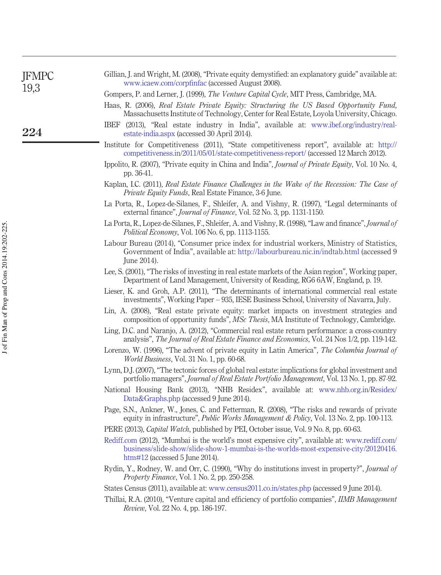| <b>IFMPC</b><br>19,3 | Gillian, J. and Wright, M. (2008), "Private equity demystified: an explanatory guide" available at:<br>www.icaew.com/corpfinfac (accessed August 2008).                                                                |
|----------------------|------------------------------------------------------------------------------------------------------------------------------------------------------------------------------------------------------------------------|
|                      | Gompers, P. and Lerner, J. (1999), The Venture Capital Cycle, MIT Press, Cambridge, MA.                                                                                                                                |
|                      | Haas, R. (2006), Real Estate Private Equity: Structuring the US Based Opportunity Fund,<br>Massachusetts Institute of Technology, Center for Real Estate, Loyola University, Chicago.                                  |
| 224                  | IBEF (2013), "Real estate industry in India", available at: www.ibef.org/industry/real-<br>estate-india.aspx (accessed 30 April 2014).                                                                                 |
|                      | Institute for Competitiveness (2011), "State competitiveness report", available at: http://<br>competitiveness.in/2011/05/01/state-competitiveness-report/ (accessed 12 March 2012).                                   |
|                      | Ippolito, R. (2007), "Private equity in China and India", Journal of Private Equity, Vol. 10 No. 4,<br>pp. 36-41.                                                                                                      |
|                      | Kaplan, I.C. (2011), Real Estate Finance Challenges in the Wake of the Recession: The Case of<br>Private Equity Funds, Real Estate Finance, 3-6 June.                                                                  |
|                      | La Porta, R., Lopez-de-Silanes, F., Shleifer, A. and Vishny, R. (1997), "Legal determinants of<br>external finance", Journal of Finance, Vol. 52 No. 3, pp. 1131-1150.                                                 |
|                      | La Porta, R., Lopez-de-Silanes, F., Shleifer, A. and Vishny, R. (1998), "Law and finance", Journal of<br>Political Economy, Vol. 106 No. 6, pp. 1113-1155.                                                             |
|                      | Labour Bureau (2014), "Consumer price index for industrial workers, Ministry of Statistics,<br>Government of India", available at: http://labourbureau.nic.in/indtab.html (accessed 9<br>June 2014).                   |
|                      | Lee, S. (2001), "The risks of investing in real estate markets of the Asian region", Working paper,<br>Department of Land Management, University of Reading, RG6 6AW, England, p. 19.                                  |
|                      | Lieser, K. and Groh, A.P. (2011), "The determinants of international commercial real estate<br>investments", Working Paper - 935, IESE Business School, University of Navarra, July.                                   |
|                      | Lin, A. (2008), "Real estate private equity: market impacts on investment strategies and<br>composition of opportunity funds", MSc Thesis, MA Institute of Technology, Cambridge.                                      |
|                      | Ling, D.C. and Naranjo, A. (2012), "Commercial real estate return performance: a cross-country<br>analysis", The Journal of Real Estate Finance and Economics, Vol. 24 Nos 1/2, pp. 119-142.                           |
|                      | Lorenzo, W. (1996), "The advent of private equity in Latin America", The Columbia Journal of<br><i>World Business, Vol. 31 No. 1, pp. 60-68.</i>                                                                       |
|                      | Lynn, D.J. (2007), "The tectonic forces of global real estate: implications for global investment and<br>portfolio managers", Journal of Real Estate Portfolio Management, Vol. 13 No. 1, pp. 87-92.                   |
|                      | National Housing Bank (2013), "NHB Residex", available at: www.nhb.org.in/Residex/<br>Data&Graphs.php (accessed 9 June 2014).                                                                                          |
|                      | Page, S.N., Ankner, W., Jones, C. and Fetterman, R. (2008), "The risks and rewards of private<br>equity in infrastructure", Public Works Management & Policy, Vol. 13 No. 2, pp. 100-113.                              |
|                      | PERE (2013), <i>Capital Watch</i> , published by PEI, October issue, Vol. 9 No. 8, pp. 60-63.                                                                                                                          |
|                      | Rediff.com (2012), "Mumbai is the world's most expensive city", available at: www.rediff.com/<br>business/slide-show/slide-show-1-mumbai-is-the-worlds-most-expensive-city/20120416.<br>htm#12 (accessed 5 June 2014). |
|                      | Rydin, Y., Rodney, W. and Orr, C. (1990), "Why do institutions invest in property?", Journal of<br>Property Finance, Vol. 1 No. 2, pp. 250-258.                                                                        |

- States Census (2011), available at: [www.census2011.co.in/states.php](http://www.census2011.co.in/states.php) (accessed 9 June 2014).
- Thillai, R.A. (2010), "Venture capital and efficiency of portfolio companies", *IIMB Management Review*, Vol. 22 No. 4, pp. 186-197.